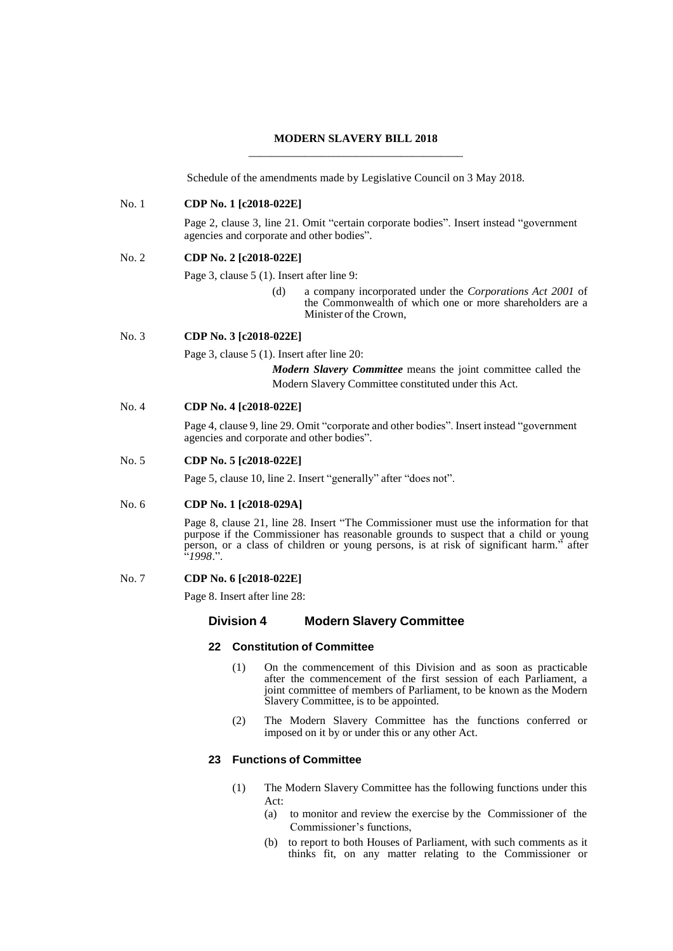## **MODERN SLAVERY BILL 2018** \_\_\_\_\_\_\_\_\_\_\_\_\_\_\_\_\_\_\_\_\_\_\_\_\_\_\_\_\_\_\_\_\_\_\_\_\_\_

Schedule of the amendments made by Legislative Council on 3 May 2018.

## No. 1 **CDP No. 1 [c2018-022E]**

Page 2, clause 3, line 21. Omit "certain corporate bodies". Insert instead "government agencies and corporate and other bodies".

### No. 2 **CDP No. 2 [c2018-022E]**

Page 3, clause 5 (1). Insert after line 9:

(d) a company incorporated under the *Corporations Act 2001* of the Commonwealth of which one or more shareholders are a Minister of the Crown,

No. 3 **CDP No. 3 [c2018-022E]**

Page 3, clause 5 (1). Insert after line 20:

*Modern Slavery Committee* means the joint committee called the Modern Slavery Committee constituted under this Act.

### No. 4 **CDP No. 4 [c2018-022E]**

Page 4, clause 9, line 29. Omit "corporate and other bodies". Insert instead "government agencies and corporate and other bodies".

## No. 5 **CDP No. 5 [c2018-022E]**

Page 5, clause 10, line 2. Insert "generally" after "does not".

## No. 6 **CDP No. 1 [c2018-029A]**

Page 8, clause 21, line 28. Insert "The Commissioner must use the information for that purpose if the Commissioner has reasonable grounds to suspect that a child or young person, or a class of children or young persons, is at risk of significant harm." after "*1998*.".

## No. 7 **CDP No. 6 [c2018-022E]**

Page 8. Insert after line 28:

### **Division 4 Modern Slavery Committee**

### **22 Constitution of Committee**

- (1) On the commencement of this Division and as soon as practicable after the commencement of the first session of each Parliament, a joint committee of members of Parliament, to be known as the Modern Slavery Committee, is to be appointed.
- (2) The Modern Slavery Committee has the functions conferred or imposed on it by or under this or any other Act.

## **23 Functions of Committee**

- (1) The Modern Slavery Committee has the following functions under this Act:
	- (a) to monitor and review the exercise by the Commissioner of the Commissioner's functions,
	- (b) to report to both Houses of Parliament, with such comments as it thinks fit, on any matter relating to the Commissioner or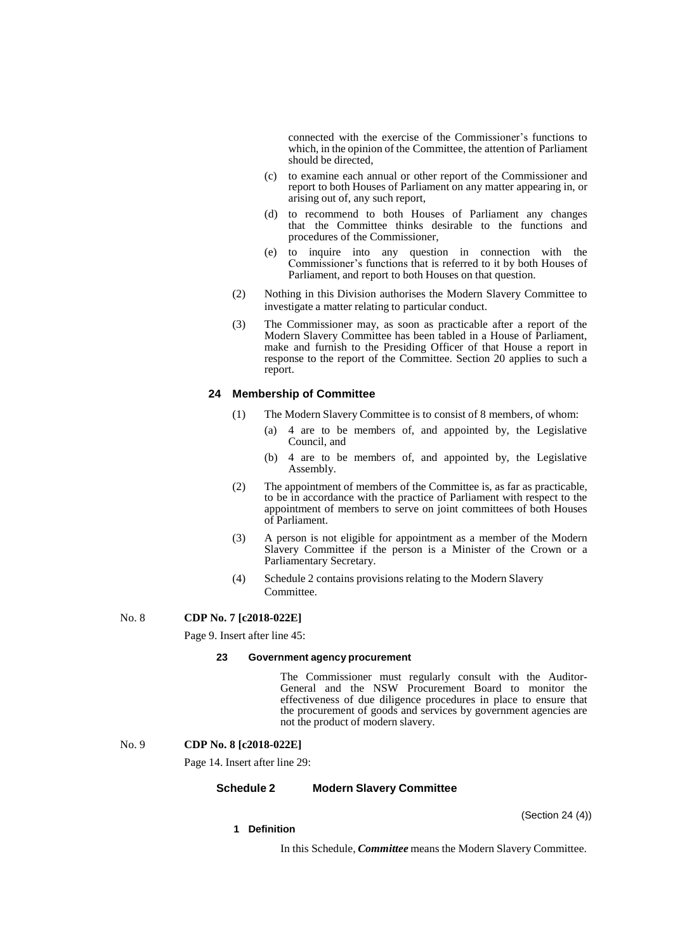connected with the exercise of the Commissioner's functions to which, in the opinion of the Committee, the attention of Parliament should be directed,

- (c) to examine each annual or other report of the Commissioner and report to both Houses of Parliament on any matter appearing in, or arising out of, any such report,
- (d) to recommend to both Houses of Parliament any changes that the Committee thinks desirable to the functions and procedures of the Commissioner,
- (e) to inquire into any question in connection with the Commissioner's functions that is referred to it by both Houses of Parliament, and report to both Houses on that question.
- (2) Nothing in this Division authorises the Modern Slavery Committee to investigate a matter relating to particular conduct.
- (3) The Commissioner may, as soon as practicable after a report of the Modern Slavery Committee has been tabled in a House of Parliament, make and furnish to the Presiding Officer of that House a report in response to the report of the Committee. Section 20 applies to such a report.

## **24 Membership of Committee**

- (1) The Modern Slavery Committee is to consist of 8 members, of whom:
	- (a) 4 are to be members of, and appointed by, the Legislative Council, and
	- (b) 4 are to be members of, and appointed by, the Legislative Assembly.
- (2) The appointment of members of the Committee is, as far as practicable, to be in accordance with the practice of Parliament with respect to the appointment of members to serve on joint committees of both Houses of Parliament.
- (3) A person is not eligible for appointment as a member of the Modern Slavery Committee if the person is a Minister of the Crown or a Parliamentary Secretary.
- (4) Schedule 2 contains provisions relating to the Modern Slavery Committee.

No. 8 **CDP No. 7 [c2018-022E]**

Page 9. Insert after line 45:

#### **23 Government agency procurement**

The Commissioner must regularly consult with the Auditor-General and the NSW Procurement Board to monitor the effectiveness of due diligence procedures in place to ensure that the procurement of goods and services by government agencies are not the product of modern slavery.

#### No. 9 **CDP No. 8 [c2018-022E]**

Page 14. Insert after line 29:

### **Schedule 2 Modern Slavery Committee**

(Section 24 (4))

# **1 Definition**

In this Schedule, *Committee* means the Modern Slavery Committee.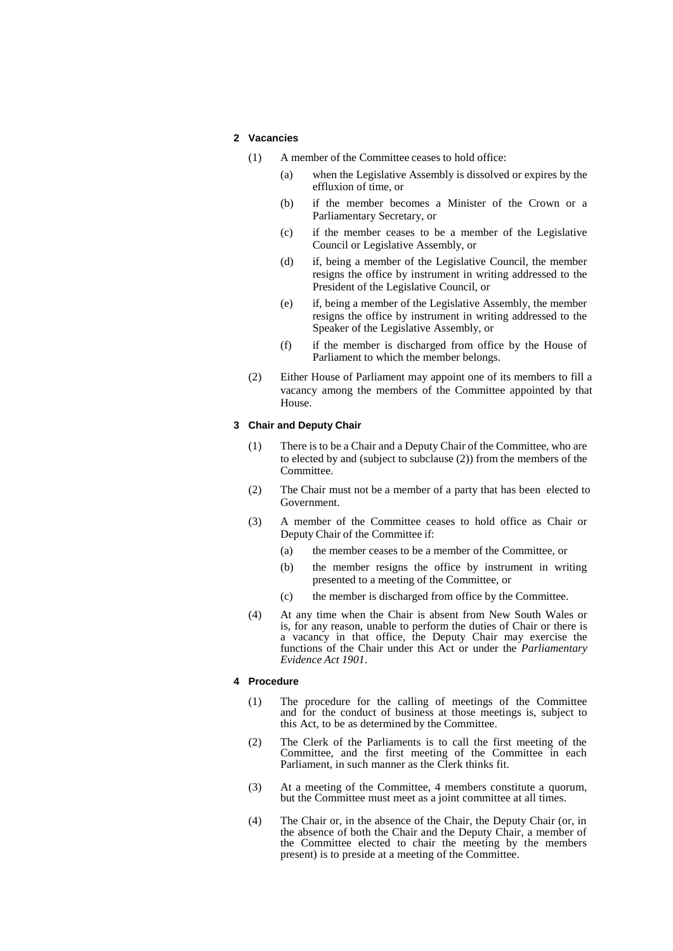## **2 Vacancies**

- (1) A member of the Committee ceases to hold office:
	- (a) when the Legislative Assembly is dissolved or expires by the effluxion of time, or
	- (b) if the member becomes a Minister of the Crown or a Parliamentary Secretary, or
	- (c) if the member ceases to be a member of the Legislative Council or Legislative Assembly, or
	- (d) if, being a member of the Legislative Council, the member resigns the office by instrument in writing addressed to the President of the Legislative Council, or
	- (e) if, being a member of the Legislative Assembly, the member resigns the office by instrument in writing addressed to the Speaker of the Legislative Assembly, or
	- (f) if the member is discharged from office by the House of Parliament to which the member belongs.
- (2) Either House of Parliament may appoint one of its members to fill a vacancy among the members of the Committee appointed by that House.

### **3 Chair and Deputy Chair**

- (1) There is to be a Chair and a Deputy Chair of the Committee, who are to elected by and (subject to subclause (2)) from the members of the Committee.
- (2) The Chair must not be a member of a party that has been elected to Government.
- (3) A member of the Committee ceases to hold office as Chair or Deputy Chair of the Committee if:
	- (a) the member ceases to be a member of the Committee, or
	- (b) the member resigns the office by instrument in writing presented to a meeting of the Committee, or
	- (c) the member is discharged from office by the Committee.
- (4) At any time when the Chair is absent from New South Wales or is, for any reason, unable to perform the duties of Chair or there is a vacancy in that office, the Deputy Chair may exercise the functions of the Chair under this Act or under the *Parliamentary Evidence Act 1901*.

#### **4 Procedure**

- (1) The procedure for the calling of meetings of the Committee and for the conduct of business at those meetings is, subject to this Act, to be as determined by the Committee.
- (2) The Clerk of the Parliaments is to call the first meeting of the Committee, and the first meeting of the Committee in each Parliament, in such manner as the Clerk thinks fit.
- (3) At a meeting of the Committee, 4 members constitute a quorum, but the Committee must meet as a joint committee at all times.
- (4) The Chair or, in the absence of the Chair, the Deputy Chair (or, in the absence of both the Chair and the Deputy Chair, a member of the Committee elected to chair the meeting by the members present) is to preside at a meeting of the Committee.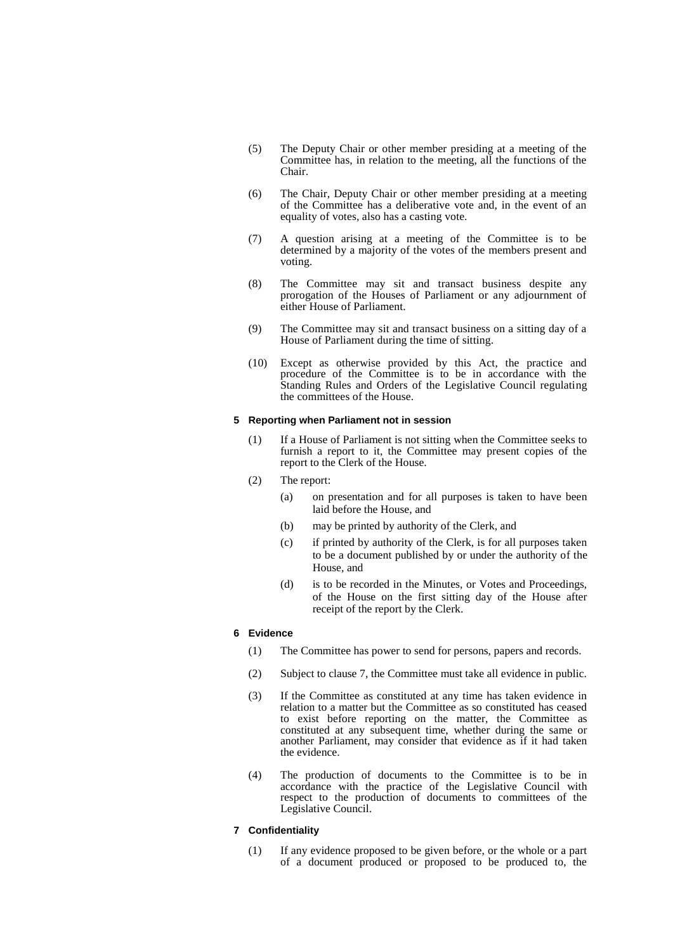- (5) The Deputy Chair or other member presiding at a meeting of the Committee has, in relation to the meeting, all the functions of the Chair.
- (6) The Chair, Deputy Chair or other member presiding at a meeting of the Committee has a deliberative vote and, in the event of an equality of votes, also has a casting vote.
- (7) A question arising at a meeting of the Committee is to be determined by a majority of the votes of the members present and voting.
- (8) The Committee may sit and transact business despite any prorogation of the Houses of Parliament or any adjournment of either House of Parliament.
- (9) The Committee may sit and transact business on a sitting day of a House of Parliament during the time of sitting.
- (10) Except as otherwise provided by this Act, the practice and procedure of the Committee is to be in accordance with the Standing Rules and Orders of the Legislative Council regulating the committees of the House.

#### **5 Reporting when Parliament not in session**

- (1) If a House of Parliament is not sitting when the Committee seeks to furnish a report to it, the Committee may present copies of the report to the Clerk of the House.
- (2) The report:
	- (a) on presentation and for all purposes is taken to have been laid before the House, and
	- (b) may be printed by authority of the Clerk, and
	- (c) if printed by authority of the Clerk, is for all purposes taken to be a document published by or under the authority of the House, and
	- (d) is to be recorded in the Minutes, or Votes and Proceedings, of the House on the first sitting day of the House after receipt of the report by the Clerk.

### **6 Evidence**

- (1) The Committee has power to send for persons, papers and records.
- (2) Subject to clause 7, the Committee must take all evidence in public.
- (3) If the Committee as constituted at any time has taken evidence in relation to a matter but the Committee as so constituted has ceased to exist before reporting on the matter, the Committee as constituted at any subsequent time, whether during the same or another Parliament, may consider that evidence as if it had taken the evidence.
- (4) The production of documents to the Committee is to be in accordance with the practice of the Legislative Council with respect to the production of documents to committees of the Legislative Council.

### **7 Confidentiality**

(1) If any evidence proposed to be given before, or the whole or a part of a document produced or proposed to be produced to, the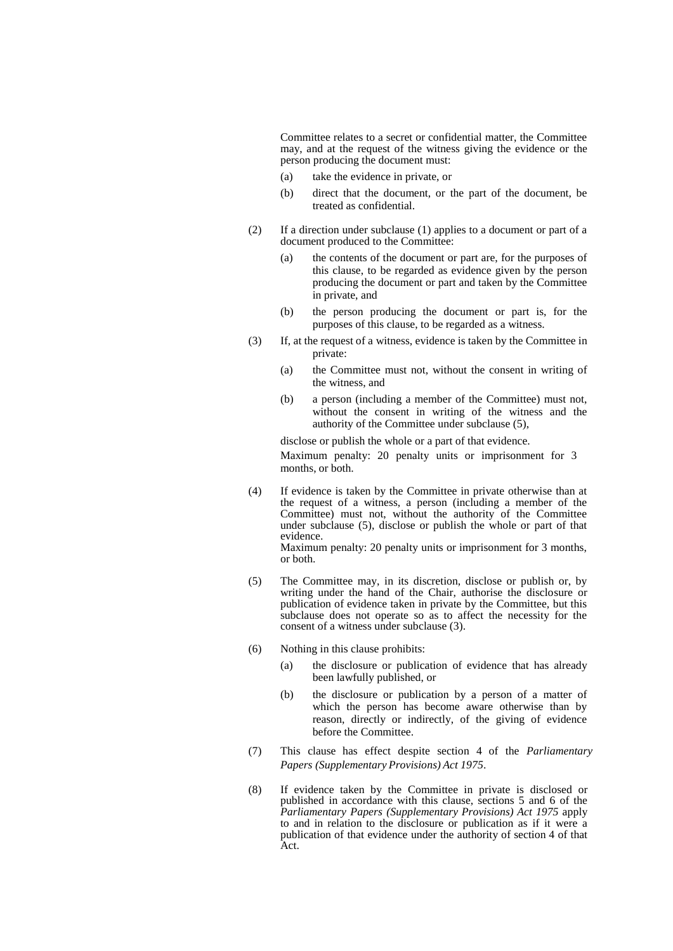Committee relates to a secret or confidential matter, the Committee may, and at the request of the witness giving the evidence or the person producing the document must:

- (a) take the evidence in private, or
- (b) direct that the document, or the part of the document, be treated as confidential.
- (2) If a direction under subclause (1) applies to a document or part of a document produced to the Committee:
	- (a) the contents of the document or part are, for the purposes of this clause, to be regarded as evidence given by the person producing the document or part and taken by the Committee in private, and
	- (b) the person producing the document or part is, for the purposes of this clause, to be regarded as a witness.
- (3) If, at the request of a witness, evidence is taken by the Committee in private:
	- (a) the Committee must not, without the consent in writing of the witness, and
	- (b) a person (including a member of the Committee) must not, without the consent in writing of the witness and the authority of the Committee under subclause (5),

disclose or publish the whole or a part of that evidence. Maximum penalty: 20 penalty units or imprisonment for 3 months, or both.

(4) If evidence is taken by the Committee in private otherwise than at the request of a witness, a person (including a member of the Committee) must not, without the authority of the Committee under subclause (5), disclose or publish the whole or part of that evidence.

Maximum penalty: 20 penalty units or imprisonment for 3 months, or both.

- (5) The Committee may, in its discretion, disclose or publish or, by writing under the hand of the Chair, authorise the disclosure or publication of evidence taken in private by the Committee, but this subclause does not operate so as to affect the necessity for the consent of a witness under subclause (3).
- (6) Nothing in this clause prohibits:
	- (a) the disclosure or publication of evidence that has already been lawfully published, or
	- (b) the disclosure or publication by a person of a matter of which the person has become aware otherwise than by reason, directly or indirectly, of the giving of evidence before the Committee.
- (7) This clause has effect despite section 4 of the *Parliamentary Papers (Supplementary Provisions) Act 1975*.
- (8) If evidence taken by the Committee in private is disclosed or published in accordance with this clause, sections 5 and 6 of the *Parliamentary Papers (Supplementary Provisions) Act 1975* apply to and in relation to the disclosure or publication as if it were a publication of that evidence under the authority of section 4 of that Act.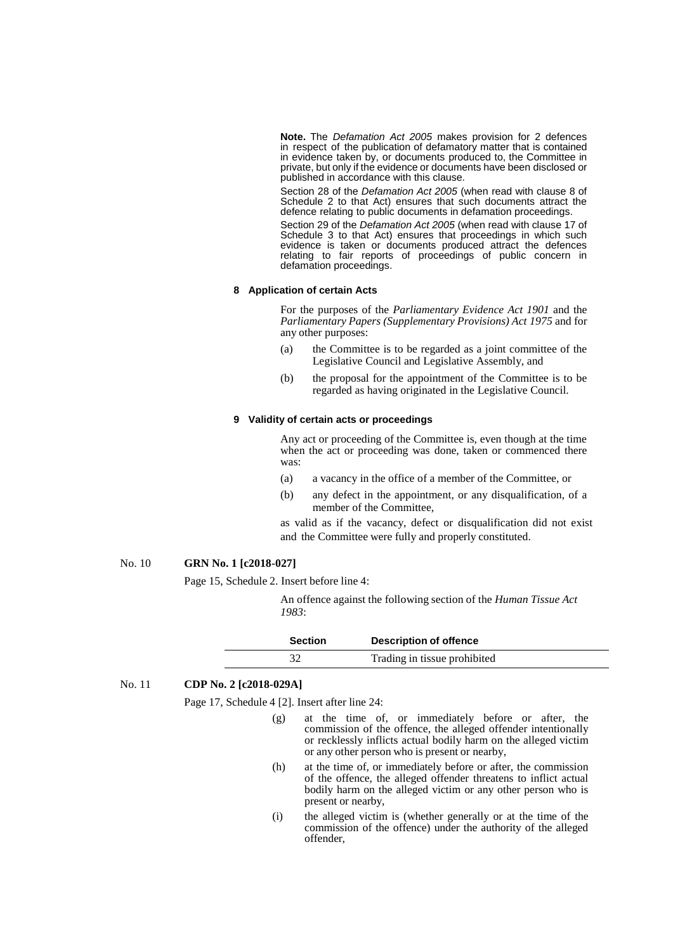**Note.** The *Defamation Act 2005* makes provision for 2 defences in respect of the publication of defamatory matter that is contained in evidence taken by, or documents produced to, the Committee in private, but only if the evidence or documents have been disclosed or published in accordance with this clause.

Section 28 of the *Defamation Act 2005* (when read with clause 8 of Schedule 2 to that Act) ensures that such documents attract the defence relating to public documents in defamation proceedings.

Section 29 of the *Defamation Act 2005* (when read with clause 17 of Schedule 3 to that Act) ensures that proceedings in which such evidence is taken or documents produced attract the defences relating to fair reports of proceedings of public concern in defamation proceedings.

#### **8 Application of certain Acts**

For the purposes of the *Parliamentary Evidence Act 1901* and the *Parliamentary Papers (Supplementary Provisions) Act 1975* and for any other purposes:

- (a) the Committee is to be regarded as a joint committee of the Legislative Council and Legislative Assembly, and
- (b) the proposal for the appointment of the Committee is to be regarded as having originated in the Legislative Council.

#### **9 Validity of certain acts or proceedings**

Any act or proceeding of the Committee is, even though at the time when the act or proceeding was done, taken or commenced there was:

- (a) a vacancy in the office of a member of the Committee, or
- (b) any defect in the appointment, or any disqualification, of a member of the Committee,

as valid as if the vacancy, defect or disqualification did not exist and the Committee were fully and properly constituted.

## No. 10 **GRN No. 1 [c2018-027]**

Page 15, Schedule 2. Insert before line 4:

An offence against the following section of the *Human Tissue Act 1983*:

| <b>Section</b> | <b>Description of offence</b> |
|----------------|-------------------------------|
|                | Trading in tissue prohibited  |

### No. 11 **CDP No. 2 [c2018-029A]**

Page 17, Schedule 4 [2]. Insert after line 24:

- (g) at the time of, or immediately before or after, the commission of the offence, the alleged offender intentionally or recklessly inflicts actual bodily harm on the alleged victim or any other person who is present or nearby,
- (h) at the time of, or immediately before or after, the commission of the offence, the alleged offender threatens to inflict actual bodily harm on the alleged victim or any other person who is present or nearby,
- (i) the alleged victim is (whether generally or at the time of the commission of the offence) under the authority of the alleged offender,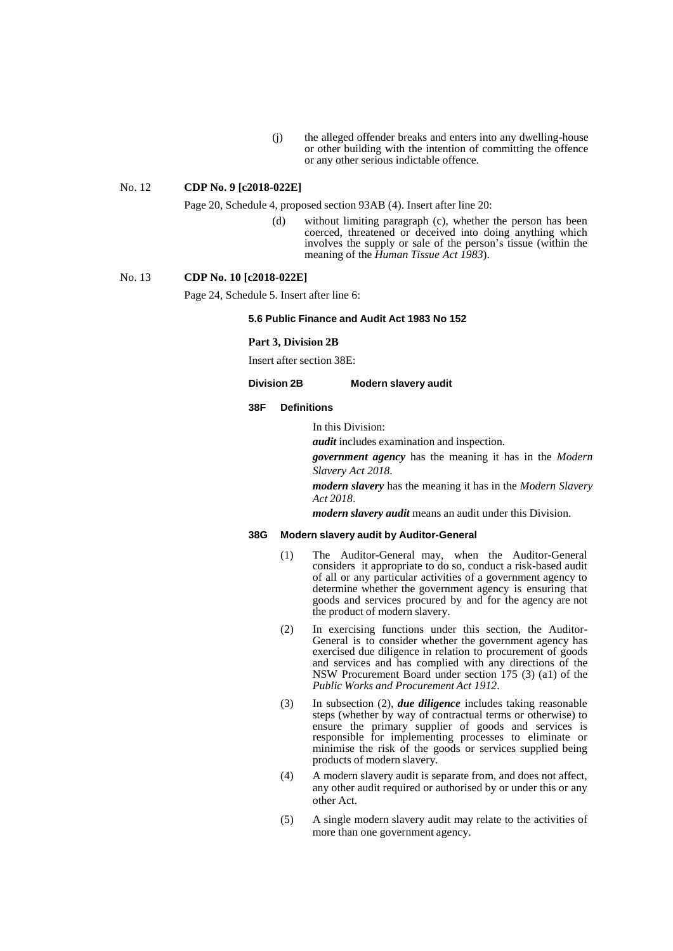(j) the alleged offender breaks and enters into any dwelling-house or other building with the intention of committing the offence or any other serious indictable offence.

## No. 12 **CDP No. 9 [c2018-022E]**

Page 20, Schedule 4, proposed section 93AB (4). Insert after line 20:

(d) without limiting paragraph (c), whether the person has been coerced, threatened or deceived into doing anything which involves the supply or sale of the person's tissue (within the meaning of the *Human Tissue Act 1983*).

No. 13 **CDP No. 10 [c2018-022E]**

Page 24, Schedule 5. Insert after line 6:

## **5.6 Public Finance and Audit Act 1983 No 152**

#### **Part 3, Division 2B**

Insert after section 38E:

#### **Division 2B Modern slavery audit**

#### **38F Definitions**

In this Division:

*audit* includes examination and inspection.

*government agency* has the meaning it has in the *Modern Slavery Act 2018*.

*modern slavery* has the meaning it has in the *Modern Slavery Act 2018*.

*modern slavery audit* means an audit under this Division.

#### **38G Modern slavery audit by Auditor-General**

- (1) The Auditor-General may, when the Auditor-General considers it appropriate to do so, conduct a risk-based audit of all or any particular activities of a government agency to determine whether the government agency is ensuring that goods and services procured by and for the agency are not the product of modern slavery.
- (2) In exercising functions under this section, the Auditor-General is to consider whether the government agency has exercised due diligence in relation to procurement of goods and services and has complied with any directions of the NSW Procurement Board under section 175 (3) (a1) of the *Public Works and Procurement Act 1912*.
- (3) In subsection (2), *due diligence* includes taking reasonable steps (whether by way of contractual terms or otherwise) to ensure the primary supplier of goods and services is responsible for implementing processes to eliminate or minimise the risk of the goods or services supplied being products of modern slavery.
- (4) A modern slavery audit is separate from, and does not affect, any other audit required or authorised by or under this or any other Act.
- (5) A single modern slavery audit may relate to the activities of more than one government agency.